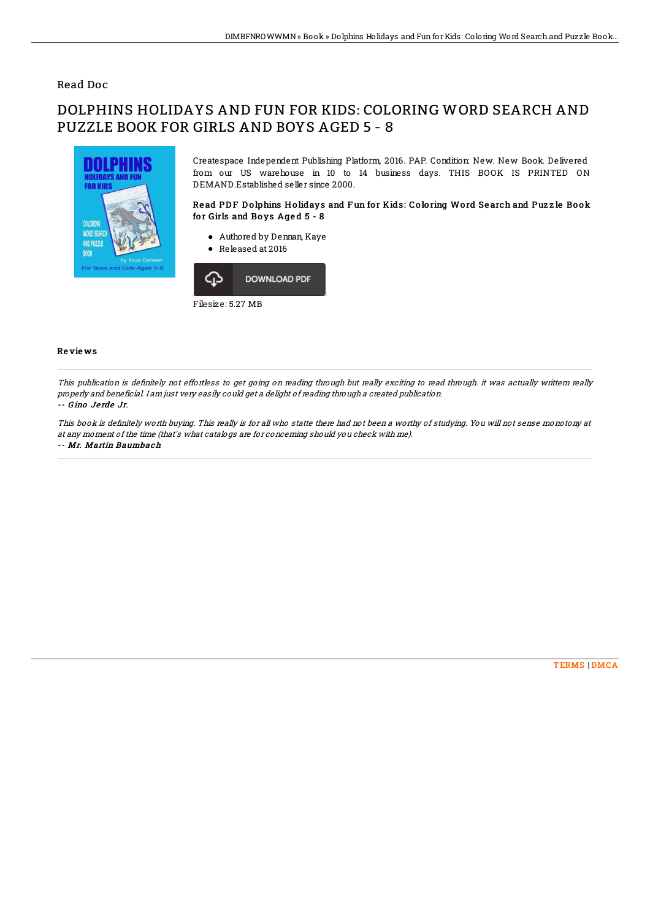# Read Doc

# DOLPHINS HOLIDAYS AND FUN FOR KIDS: COLORING WORD SEARCH AND PUZZLE BOOK FOR GIRLS AND BOYS AGED 5 - 8



Createspace Independent Publishing Platform, 2016. PAP. Condition: New. New Book. Delivered from our US warehouse in 10 to 14 business days. THIS BOOK IS PRINTED ON DEMAND.Established seller since 2000.

## Read PDF Dolphins Holidays and Fun for Kids: Coloring Word Search and Puzzle Book for Girls and Boys Aged 5 - 8

- Authored by Dennan, Kaye
- Released at 2016



#### Re vie ws

This publication is definitely not effortless to get going on reading through but really exciting to read through. it was actually writtern really properly and beneficial. I am just very easily could get <sup>a</sup> delight of reading through <sup>a</sup> created publication.

## -- G ino Je rde Jr.

This book is definitely worth buying. This really is for all who statte there had not been a worthy of studying. You will not sense monotony at at any moment of the time (that's what catalogs are for concerning should you check with me). -- Mr. Martin Baumbach